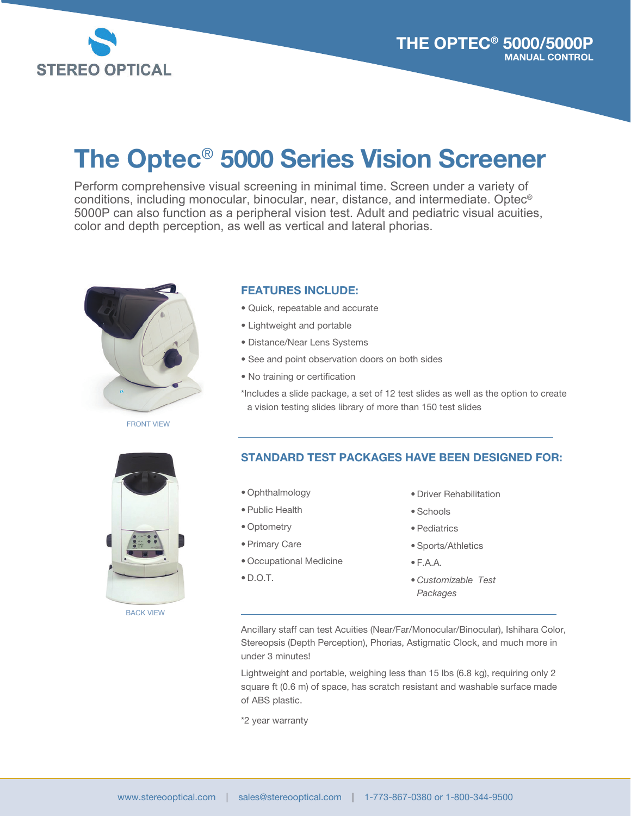

# The Optec® 5000 Series Vision Screener

Perform comprehensive visual screening in minimal time. Screen under a variety of conditions, including monocular, binocular, near, distance, and intermediate. Optec® 5000P can also function as a peripheral vision test. Adult and pediatric visual acuities, color and depth perception, as well as vertical and lateral phorias.



FRONT VIEW

#### FEATURES INCLUDE:

- Quick, repeatable and accurate
- Lightweight and portable
- Distance/Near Lens Systems
- See and point observation doors on both sides
- No training or certification

\*Includes a slide package, a set of 12 test slides as well as the option to create a vision testing slides library of more than 150 test slides



BACK VIEW

#### STANDARD TEST PACKAGES HAVE BEEN DESIGNED FOR:

- Ophthalmology
- Public Health
- Optometry
- Primary Care
- Occupational Medicine
- $\bullet$  D.O.T.
- Driver Rehabilitation
- Schools
- Pediatrics
- Sports/Athletics
- F.A.A.
- *Customizable Test Packages*

Ancillary staff can test Acuities (Near/Far/Monocular/Binocular), Ishihara Color, Stereopsis (Depth Perception), Phorias, Astigmatic Clock, and much more in under 3 minutes!

Lightweight and portable, weighing less than 15 lbs (6.8 kg), requiring only 2 square ft (0.6 m) of space, has scratch resistant and washable surface made of ABS plastic.

\*2 year warranty